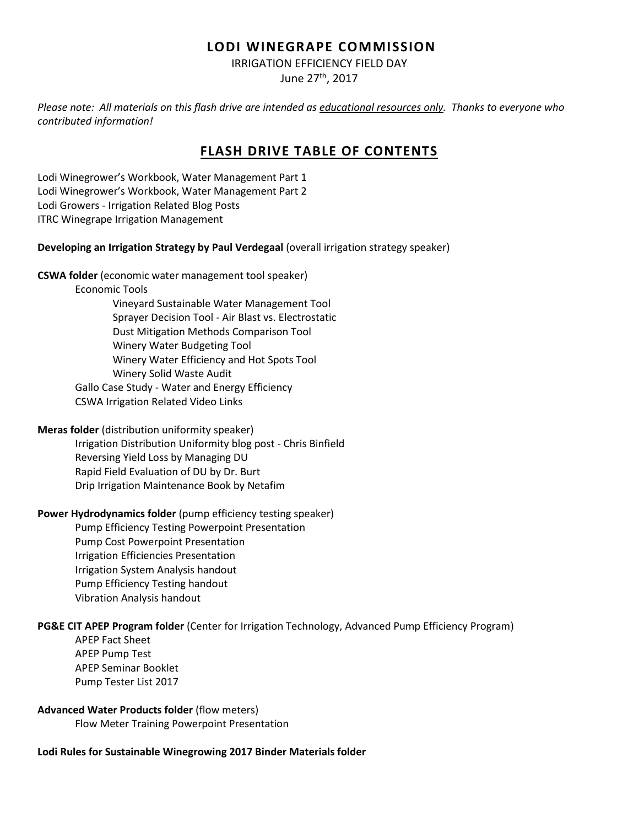### **LODI WINEGRAPE COMMISSION**

IRRIGATION EFFICIENCY FIELD DAY

June 27th, 2017

*Please note: All materials on this flash drive are intended as educational resources only. Thanks to everyone who contributed information!*

# **FLASH DRIVE TABLE OF CONTENTS**

Lodi Winegrower's Workbook, Water Management Part 1 Lodi Winegrower's Workbook, Water Management Part 2 Lodi Growers - Irrigation Related Blog Posts ITRC Winegrape Irrigation Management

### **Developing an Irrigation Strategy by Paul Verdegaal** (overall irrigation strategy speaker)

**CSWA folder** (economic water management tool speaker)

Economic Tools

Vineyard Sustainable Water Management Tool Sprayer Decision Tool - Air Blast vs. Electrostatic Dust Mitigation Methods Comparison Tool Winery Water Budgeting Tool Winery Water Efficiency and Hot Spots Tool Winery Solid Waste Audit Gallo Case Study - Water and Energy Efficiency CSWA Irrigation Related Video Links

**Meras folder** (distribution uniformity speaker)

Irrigation Distribution Uniformity blog post - Chris Binfield Reversing Yield Loss by Managing DU Rapid Field Evaluation of DU by Dr. Burt Drip Irrigation Maintenance Book by Netafim

### **Power Hydrodynamics folder** (pump efficiency testing speaker)

Pump Efficiency Testing Powerpoint Presentation Pump Cost Powerpoint Presentation Irrigation Efficiencies Presentation Irrigation System Analysis handout Pump Efficiency Testing handout Vibration Analysis handout

### **PG&E CIT APEP Program folder** (Center for Irrigation Technology, Advanced Pump Efficiency Program)

APEP Fact Sheet APEP Pump Test APEP Seminar Booklet Pump Tester List 2017

#### **Advanced Water Products folder** (flow meters)

Flow Meter Training Powerpoint Presentation

### **Lodi Rules for Sustainable Winegrowing 2017 Binder Materials folder**